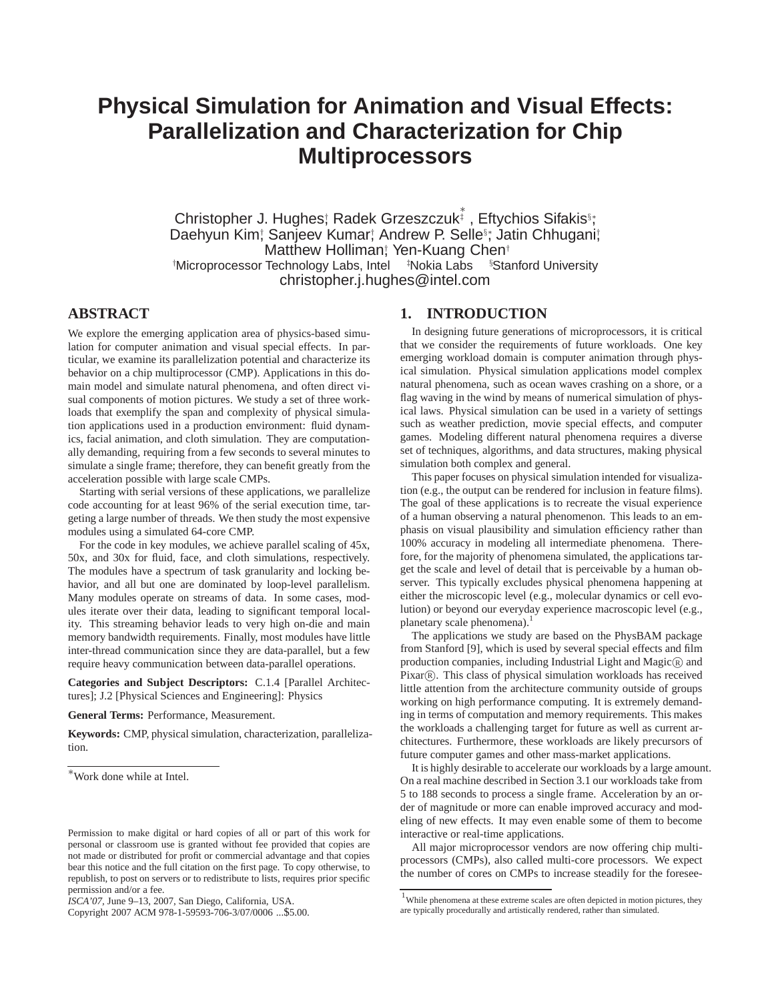# **Physical Simulation for Animation and Visual Effects: Parallelization and Characterization for Chip Multiprocessors**

Christopher J. Hughes; Radek Grzeszczuk<sup>‡</sup> , Eftychios Sifakisႈ<del>;</del> Daehyun Kim; Sanjeev Kumar; Andrew P. Selle<sup>§</sup>; Jatin Chhugani; Matthew Holliman; Yen-Kuang Chen<sup>+</sup> †Microprocessor Technology Labs, Intel ‡Nokia Labs §Stanford University christopher.j.hughes@intel.com

## **ABSTRACT**

We explore the emerging application area of physics-based simulation for computer animation and visual special effects. In particular, we examine its parallelization potential and characterize its behavior on a chip multiprocessor (CMP). Applications in this domain model and simulate natural phenomena, and often direct visual components of motion pictures. We study a set of three workloads that exemplify the span and complexity of physical simulation applications used in a production environment: fluid dynamics, facial animation, and cloth simulation. They are computationally demanding, requiring from a few seconds to several minutes to simulate a single frame; therefore, they can benefit greatly from the acceleration possible with large scale CMPs.

Starting with serial versions of these applications, we parallelize code accounting for at least 96% of the serial execution time, targeting a large number of threads. We then study the most expensive modules using a simulated 64-core CMP.

For the code in key modules, we achieve parallel scaling of 45x, 50x, and 30x for fluid, face, and cloth simulations, respectively. The modules have a spectrum of task granularity and locking behavior, and all but one are dominated by loop-level parallelism. Many modules operate on streams of data. In some cases, modules iterate over their data, leading to significant temporal locality. This streaming behavior leads to very high on-die and main memory bandwidth requirements. Finally, most modules have little inter-thread communication since they are data-parallel, but a few require heavy communication between data-parallel operations.

**Categories and Subject Descriptors:** C.1.4 [Parallel Architectures]; J.2 [Physical Sciences and Engineering]: Physics

**General Terms:** Performance, Measurement.

**Keywords:** CMP, physical simulation, characterization, parallelization.

## **1. INTRODUCTION**

In designing future generations of microprocessors, it is critical that we consider the requirements of future workloads. One key emerging workload domain is computer animation through physical simulation. Physical simulation applications model complex natural phenomena, such as ocean waves crashing on a shore, or a flag waving in the wind by means of numerical simulation of physical laws. Physical simulation can be used in a variety of settings such as weather prediction, movie special effects, and computer games. Modeling different natural phenomena requires a diverse set of techniques, algorithms, and data structures, making physical simulation both complex and general.

This paper focuses on physical simulation intended for visualization (e.g., the output can be rendered for inclusion in feature films). The goal of these applications is to recreate the visual experience of a human observing a natural phenomenon. This leads to an emphasis on visual plausibility and simulation efficiency rather than 100% accuracy in modeling all intermediate phenomena. Therefore, for the majority of phenomena simulated, the applications target the scale and level of detail that is perceivable by a human observer. This typically excludes physical phenomena happening at either the microscopic level (e.g., molecular dynamics or cell evolution) or beyond our everyday experience macroscopic level (e.g., planetary scale phenomena).

The applications we study are based on the PhysBAM package from Stanford [9], which is used by several special effects and film production companies, including Industrial Light and Magic $(\overline{R})$  and Pixar<sub>(R</sub>). This class of physical simulation workloads has received little attention from the architecture community outside of groups working on high performance computing. It is extremely demanding in terms of computation and memory requirements. This makes the workloads a challenging target for future as well as current architectures. Furthermore, these workloads are likely precursors of future computer games and other mass-market applications.

It is highly desirable to accelerate our workloads by a large amount. On a real machine described in Section 3.1 our workloads take from 5 to 188 seconds to process a single frame. Acceleration by an order of magnitude or more can enable improved accuracy and modeling of new effects. It may even enable some of them to become interactive or real-time applications.

All major microprocessor vendors are now offering chip multiprocessors (CMPs), also called multi-core processors. We expect the number of cores on CMPs to increase steadily for the foresee-

<sup>∗</sup>Work done while at Intel.

Permission to make digital or hard copies of all or part of this work for personal or classroom use is granted without fee provided that copies are not made or distributed for profit or commercial advantage and that copies bear this notice and the full citation on the first page. To copy otherwise, to republish, to post on servers or to redistribute to lists, requires prior specific permission and/or a fee.

*ISCA'07,* June 9–13, 2007, San Diego, California, USA.

Copyright 2007 ACM 978-1-59593-706-3/07/0006 ...\$5.00.

<sup>&</sup>lt;sup>1</sup>While phenomena at these extreme scales are often depicted in motion pictures, they are typically procedurally and artistically rendered, rather than simulated.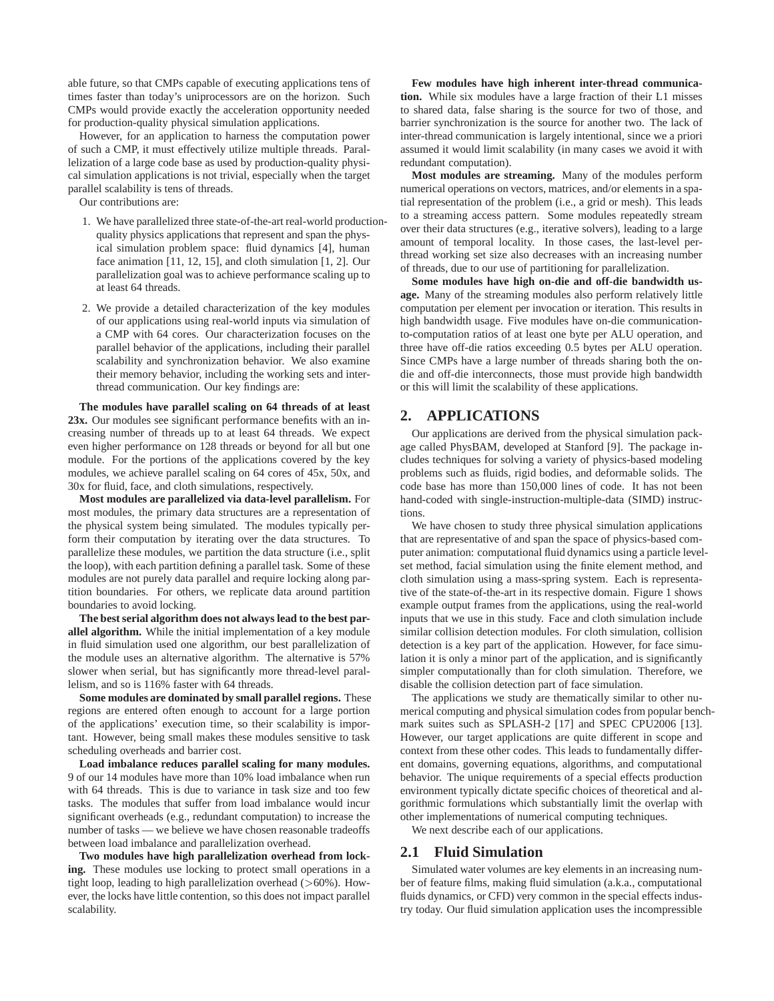able future, so that CMPs capable of executing applications tens of times faster than today's uniprocessors are on the horizon. Such CMPs would provide exactly the acceleration opportunity needed for production-quality physical simulation applications.

However, for an application to harness the computation power of such a CMP, it must effectively utilize multiple threads. Parallelization of a large code base as used by production-quality physical simulation applications is not trivial, especially when the target parallel scalability is tens of threads.

Our contributions are:

- 1. We have parallelized three state-of-the-art real-world productionquality physics applications that represent and span the physical simulation problem space: fluid dynamics [4], human face animation [11, 12, 15], and cloth simulation [1, 2]. Our parallelization goal was to achieve performance scaling up to at least 64 threads.
- 2. We provide a detailed characterization of the key modules of our applications using real-world inputs via simulation of a CMP with 64 cores. Our characterization focuses on the parallel behavior of the applications, including their parallel scalability and synchronization behavior. We also examine their memory behavior, including the working sets and interthread communication. Our key findings are:

**The modules have parallel scaling on 64 threads of at least 23x.** Our modules see significant performance benefits with an increasing number of threads up to at least 64 threads. We expect even higher performance on 128 threads or beyond for all but one module. For the portions of the applications covered by the key modules, we achieve parallel scaling on 64 cores of 45x, 50x, and 30x for fluid, face, and cloth simulations, respectively.

**Most modules are parallelized via data-level parallelism.** For most modules, the primary data structures are a representation of the physical system being simulated. The modules typically perform their computation by iterating over the data structures. To parallelize these modules, we partition the data structure (i.e., split the loop), with each partition defining a parallel task. Some of these modules are not purely data parallel and require locking along partition boundaries. For others, we replicate data around partition boundaries to avoid locking.

**The best serial algorithm does not always lead to the best parallel algorithm.** While the initial implementation of a key module in fluid simulation used one algorithm, our best parallelization of the module uses an alternative algorithm. The alternative is 57% slower when serial, but has significantly more thread-level parallelism, and so is 116% faster with 64 threads.

**Some modules are dominated by small parallel regions.** These regions are entered often enough to account for a large portion of the applications' execution time, so their scalability is important. However, being small makes these modules sensitive to task scheduling overheads and barrier cost.

**Load imbalance reduces parallel scaling for many modules.** 9 of our 14 modules have more than 10% load imbalance when run with 64 threads. This is due to variance in task size and too few tasks. The modules that suffer from load imbalance would incur significant overheads (e.g., redundant computation) to increase the number of tasks — we believe we have chosen reasonable tradeoffs between load imbalance and parallelization overhead.

**Two modules have high parallelization overhead from locking.** These modules use locking to protect small operations in a tight loop, leading to high parallelization overhead  $(>60\%)$ . However, the locks have little contention, so this does not impact parallel scalability.

**Few modules have high inherent inter-thread communication.** While six modules have a large fraction of their L1 misses to shared data, false sharing is the source for two of those, and barrier synchronization is the source for another two. The lack of inter-thread communication is largely intentional, since we a priori assumed it would limit scalability (in many cases we avoid it with redundant computation).

**Most modules are streaming.** Many of the modules perform numerical operations on vectors, matrices, and/or elements in a spatial representation of the problem (i.e., a grid or mesh). This leads to a streaming access pattern. Some modules repeatedly stream over their data structures (e.g., iterative solvers), leading to a large amount of temporal locality. In those cases, the last-level perthread working set size also decreases with an increasing number of threads, due to our use of partitioning for parallelization.

**Some modules have high on-die and off-die bandwidth usage.** Many of the streaming modules also perform relatively little computation per element per invocation or iteration. This results in high bandwidth usage. Five modules have on-die communicationto-computation ratios of at least one byte per ALU operation, and three have off-die ratios exceeding 0.5 bytes per ALU operation. Since CMPs have a large number of threads sharing both the ondie and off-die interconnects, those must provide high bandwidth or this will limit the scalability of these applications.

## **2. APPLICATIONS**

Our applications are derived from the physical simulation package called PhysBAM, developed at Stanford [9]. The package includes techniques for solving a variety of physics-based modeling problems such as fluids, rigid bodies, and deformable solids. The code base has more than 150,000 lines of code. It has not been hand-coded with single-instruction-multiple-data (SIMD) instructions.

We have chosen to study three physical simulation applications that are representative of and span the space of physics-based computer animation: computational fluid dynamics using a particle levelset method, facial simulation using the finite element method, and cloth simulation using a mass-spring system. Each is representative of the state-of-the-art in its respective domain. Figure 1 shows example output frames from the applications, using the real-world inputs that we use in this study. Face and cloth simulation include similar collision detection modules. For cloth simulation, collision detection is a key part of the application. However, for face simulation it is only a minor part of the application, and is significantly simpler computationally than for cloth simulation. Therefore, we disable the collision detection part of face simulation.

The applications we study are thematically similar to other numerical computing and physical simulation codes from popular benchmark suites such as SPLASH-2 [17] and SPEC CPU2006 [13]. However, our target applications are quite different in scope and context from these other codes. This leads to fundamentally different domains, governing equations, algorithms, and computational behavior. The unique requirements of a special effects production environment typically dictate specific choices of theoretical and algorithmic formulations which substantially limit the overlap with other implementations of numerical computing techniques.

We next describe each of our applications.

#### **2.1 Fluid Simulation**

Simulated water volumes are key elements in an increasing number of feature films, making fluid simulation (a.k.a., computational fluids dynamics, or CFD) very common in the special effects industry today. Our fluid simulation application uses the incompressible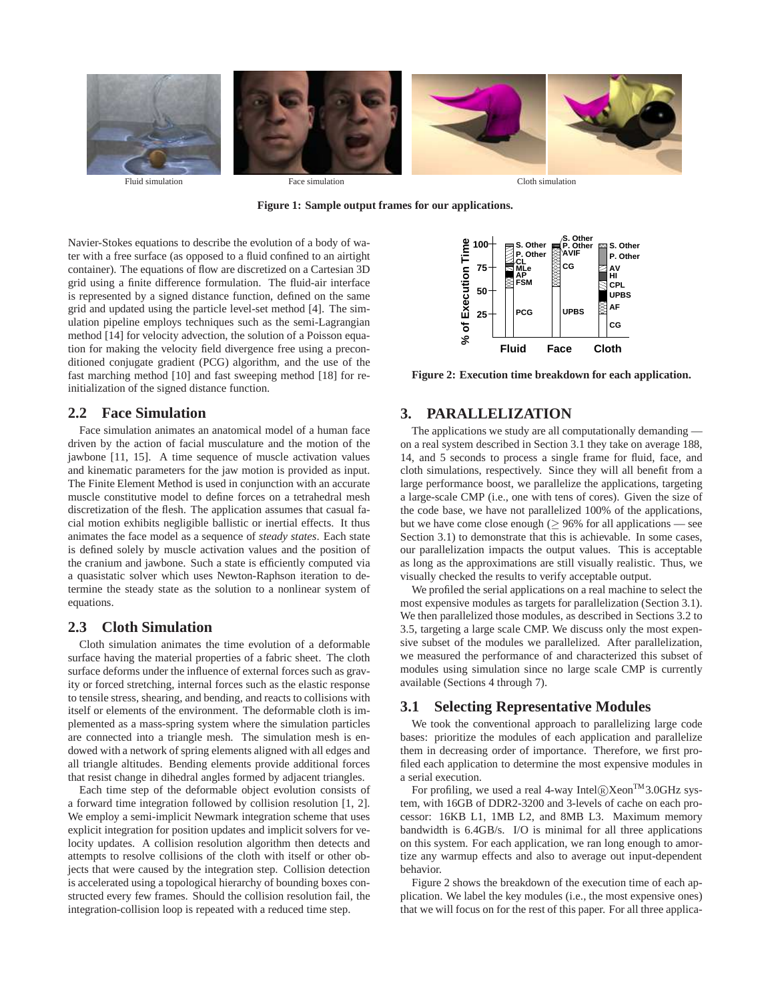

**Figure 1: Sample output frames for our applications.**

Navier-Stokes equations to describe the evolution of a body of water with a free surface (as opposed to a fluid confined to an airtight container). The equations of flow are discretized on a Cartesian 3D grid using a finite difference formulation. The fluid-air interface is represented by a signed distance function, defined on the same grid and updated using the particle level-set method [4]. The simulation pipeline employs techniques such as the semi-Lagrangian method [14] for velocity advection, the solution of a Poisson equation for making the velocity field divergence free using a preconditioned conjugate gradient (PCG) algorithm, and the use of the fast marching method [10] and fast sweeping method [18] for reinitialization of the signed distance function.

#### **2.2 Face Simulation**

Face simulation animates an anatomical model of a human face driven by the action of facial musculature and the motion of the jawbone [11, 15]. A time sequence of muscle activation values and kinematic parameters for the jaw motion is provided as input. The Finite Element Method is used in conjunction with an accurate muscle constitutive model to define forces on a tetrahedral mesh discretization of the flesh. The application assumes that casual facial motion exhibits negligible ballistic or inertial effects. It thus animates the face model as a sequence of *steady states*. Each state is defined solely by muscle activation values and the position of the cranium and jawbone. Such a state is efficiently computed via a quasistatic solver which uses Newton-Raphson iteration to determine the steady state as the solution to a nonlinear system of equations.

#### **2.3 Cloth Simulation**

Cloth simulation animates the time evolution of a deformable surface having the material properties of a fabric sheet. The cloth surface deforms under the influence of external forces such as gravity or forced stretching, internal forces such as the elastic response to tensile stress, shearing, and bending, and reacts to collisions with itself or elements of the environment. The deformable cloth is implemented as a mass-spring system where the simulation particles are connected into a triangle mesh. The simulation mesh is endowed with a network of spring elements aligned with all edges and all triangle altitudes. Bending elements provide additional forces that resist change in dihedral angles formed by adjacent triangles.

Each time step of the deformable object evolution consists of a forward time integration followed by collision resolution [1, 2]. We employ a semi-implicit Newmark integration scheme that uses explicit integration for position updates and implicit solvers for velocity updates. A collision resolution algorithm then detects and attempts to resolve collisions of the cloth with itself or other objects that were caused by the integration step. Collision detection is accelerated using a topological hierarchy of bounding boxes constructed every few frames. Should the collision resolution fail, the integration-collision loop is repeated with a reduced time step.



**Figure 2: Execution time breakdown for each application.**

#### **3. PARALLELIZATION**

The applications we study are all computationally demanding on a real system described in Section 3.1 they take on average 188, 14, and 5 seconds to process a single frame for fluid, face, and cloth simulations, respectively. Since they will all benefit from a large performance boost, we parallelize the applications, targeting a large-scale CMP (i.e., one with tens of cores). Given the size of the code base, we have not parallelized 100% of the applications, but we have come close enough ( $> 96\%$  for all applications — see Section 3.1) to demonstrate that this is achievable. In some cases, our parallelization impacts the output values. This is acceptable as long as the approximations are still visually realistic. Thus, we visually checked the results to verify acceptable output.

We profiled the serial applications on a real machine to select the most expensive modules as targets for parallelization (Section 3.1). We then parallelized those modules, as described in Sections 3.2 to 3.5, targeting a large scale CMP. We discuss only the most expensive subset of the modules we parallelized. After parallelization, we measured the performance of and characterized this subset of modules using simulation since no large scale CMP is currently available (Sections 4 through 7).

#### **3.1 Selecting Representative Modules**

We took the conventional approach to parallelizing large code bases: prioritize the modules of each application and parallelize them in decreasing order of importance. Therefore, we first profiled each application to determine the most expensive modules in a serial execution.

For profiling, we used a real 4-way Intel $\mathbb{R}X$ eon $^{TM}$ 3.0GHz system, with 16GB of DDR2-3200 and 3-levels of cache on each processor: 16KB L1, 1MB L2, and 8MB L3. Maximum memory bandwidth is 6.4GB/s. I/O is minimal for all three applications on this system. For each application, we ran long enough to amortize any warmup effects and also to average out input-dependent behavior.

Figure 2 shows the breakdown of the execution time of each application. We label the key modules (i.e., the most expensive ones) that we will focus on for the rest of this paper. For all three applica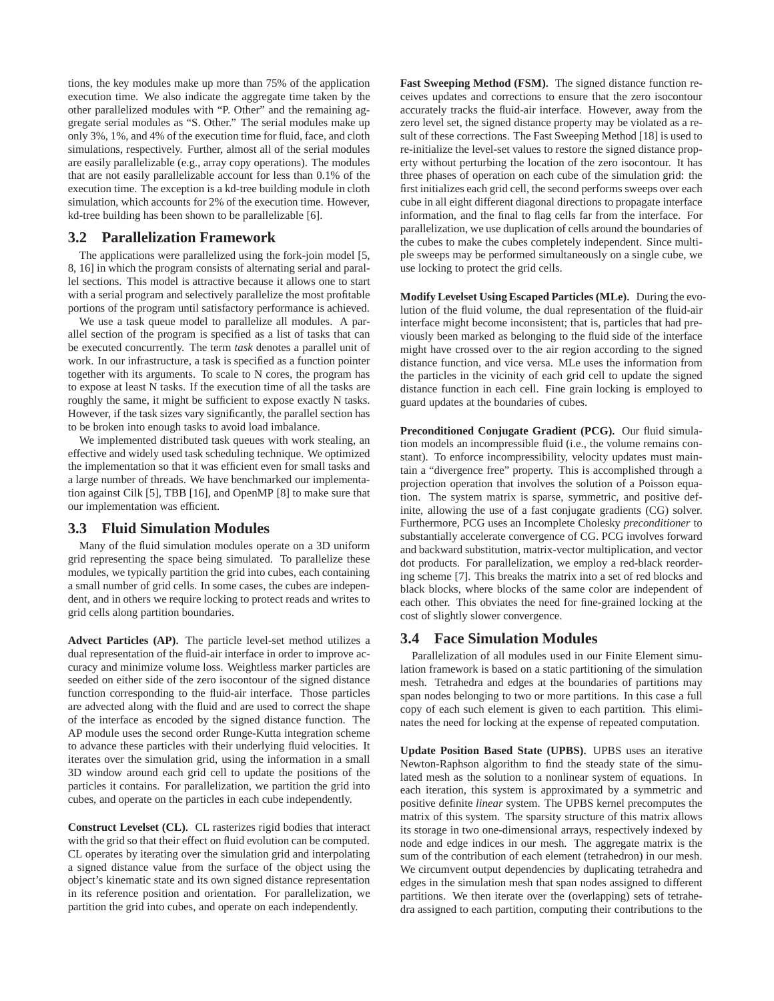tions, the key modules make up more than 75% of the application execution time. We also indicate the aggregate time taken by the other parallelized modules with "P. Other" and the remaining aggregate serial modules as "S. Other." The serial modules make up only 3%, 1%, and 4% of the execution time for fluid, face, and cloth simulations, respectively. Further, almost all of the serial modules are easily parallelizable (e.g., array copy operations). The modules that are not easily parallelizable account for less than 0.1% of the execution time. The exception is a kd-tree building module in cloth simulation, which accounts for 2% of the execution time. However, kd-tree building has been shown to be parallelizable [6].

## **3.2 Parallelization Framework**

The applications were parallelized using the fork-join model [5, 8, 16] in which the program consists of alternating serial and parallel sections. This model is attractive because it allows one to start with a serial program and selectively parallelize the most profitable portions of the program until satisfactory performance is achieved.

We use a task queue model to parallelize all modules. A parallel section of the program is specified as a list of tasks that can be executed concurrently. The term *task* denotes a parallel unit of work. In our infrastructure, a task is specified as a function pointer together with its arguments. To scale to N cores, the program has to expose at least N tasks. If the execution time of all the tasks are roughly the same, it might be sufficient to expose exactly N tasks. However, if the task sizes vary significantly, the parallel section has to be broken into enough tasks to avoid load imbalance.

We implemented distributed task queues with work stealing, an effective and widely used task scheduling technique. We optimized the implementation so that it was efficient even for small tasks and a large number of threads. We have benchmarked our implementation against Cilk [5], TBB [16], and OpenMP [8] to make sure that our implementation was efficient.

## **3.3 Fluid Simulation Modules**

Many of the fluid simulation modules operate on a 3D uniform grid representing the space being simulated. To parallelize these modules, we typically partition the grid into cubes, each containing a small number of grid cells. In some cases, the cubes are independent, and in others we require locking to protect reads and writes to grid cells along partition boundaries.

**Advect Particles (AP)***.* The particle level-set method utilizes a dual representation of the fluid-air interface in order to improve accuracy and minimize volume loss. Weightless marker particles are seeded on either side of the zero isocontour of the signed distance function corresponding to the fluid-air interface. Those particles are advected along with the fluid and are used to correct the shape of the interface as encoded by the signed distance function. The AP module uses the second order Runge-Kutta integration scheme to advance these particles with their underlying fluid velocities. It iterates over the simulation grid, using the information in a small 3D window around each grid cell to update the positions of the particles it contains. For parallelization, we partition the grid into cubes, and operate on the particles in each cube independently.

**Construct Levelset (CL)***.* CL rasterizes rigid bodies that interact with the grid so that their effect on fluid evolution can be computed. CL operates by iterating over the simulation grid and interpolating a signed distance value from the surface of the object using the object's kinematic state and its own signed distance representation in its reference position and orientation. For parallelization, we partition the grid into cubes, and operate on each independently.

**Fast Sweeping Method (FSM)***.* The signed distance function receives updates and corrections to ensure that the zero isocontour accurately tracks the fluid-air interface. However, away from the zero level set, the signed distance property may be violated as a result of these corrections. The Fast Sweeping Method [18] is used to re-initialize the level-set values to restore the signed distance property without perturbing the location of the zero isocontour. It has three phases of operation on each cube of the simulation grid: the first initializes each grid cell, the second performs sweeps over each cube in all eight different diagonal directions to propagate interface information, and the final to flag cells far from the interface. For parallelization, we use duplication of cells around the boundaries of the cubes to make the cubes completely independent. Since multiple sweeps may be performed simultaneously on a single cube, we use locking to protect the grid cells.

**Modify Levelset Using Escaped Particles (MLe)***.* During the evolution of the fluid volume, the dual representation of the fluid-air interface might become inconsistent; that is, particles that had previously been marked as belonging to the fluid side of the interface might have crossed over to the air region according to the signed distance function, and vice versa. MLe uses the information from the particles in the vicinity of each grid cell to update the signed distance function in each cell. Fine grain locking is employed to guard updates at the boundaries of cubes.

**Preconditioned Conjugate Gradient (PCG)***.* Our fluid simulation models an incompressible fluid (i.e., the volume remains constant). To enforce incompressibility, velocity updates must maintain a "divergence free" property. This is accomplished through a projection operation that involves the solution of a Poisson equation. The system matrix is sparse, symmetric, and positive definite, allowing the use of a fast conjugate gradients (CG) solver. Furthermore, PCG uses an Incomplete Cholesky *preconditioner* to substantially accelerate convergence of CG. PCG involves forward and backward substitution, matrix-vector multiplication, and vector dot products. For parallelization, we employ a red-black reordering scheme [7]. This breaks the matrix into a set of red blocks and black blocks, where blocks of the same color are independent of each other. This obviates the need for fine-grained locking at the cost of slightly slower convergence.

## **3.4 Face Simulation Modules**

Parallelization of all modules used in our Finite Element simulation framework is based on a static partitioning of the simulation mesh. Tetrahedra and edges at the boundaries of partitions may span nodes belonging to two or more partitions. In this case a full copy of each such element is given to each partition. This eliminates the need for locking at the expense of repeated computation.

**Update Position Based State (UPBS)***.* UPBS uses an iterative Newton-Raphson algorithm to find the steady state of the simulated mesh as the solution to a nonlinear system of equations. In each iteration, this system is approximated by a symmetric and positive definite *linear* system. The UPBS kernel precomputes the matrix of this system. The sparsity structure of this matrix allows its storage in two one-dimensional arrays, respectively indexed by node and edge indices in our mesh. The aggregate matrix is the sum of the contribution of each element (tetrahedron) in our mesh. We circumvent output dependencies by duplicating tetrahedra and edges in the simulation mesh that span nodes assigned to different partitions. We then iterate over the (overlapping) sets of tetrahedra assigned to each partition, computing their contributions to the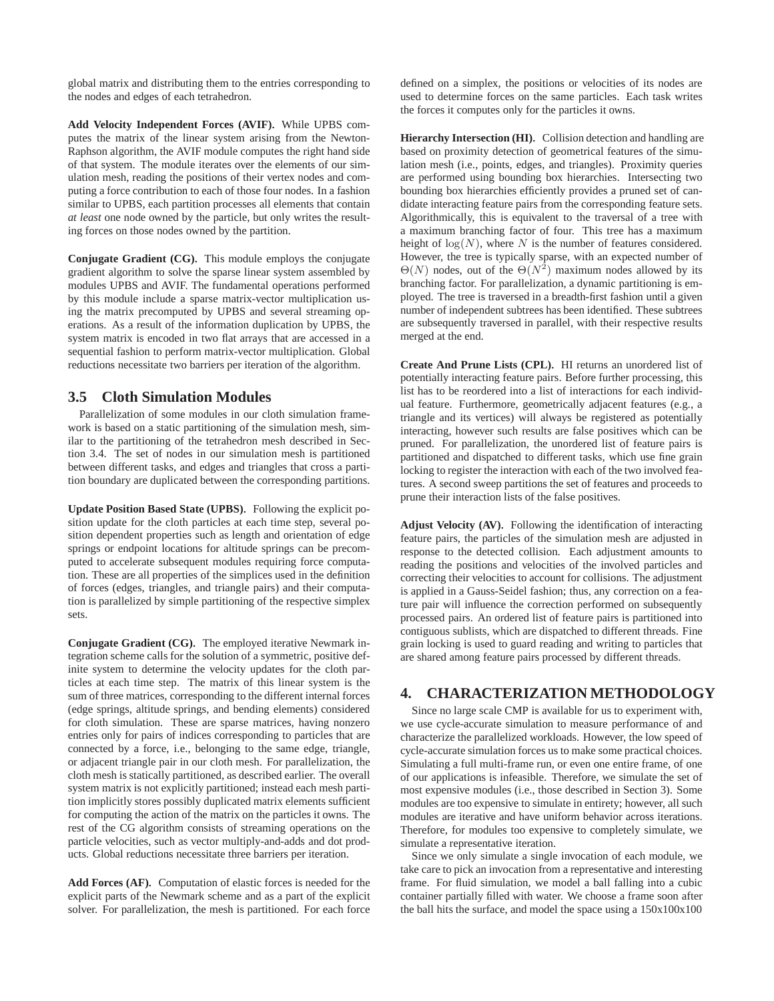global matrix and distributing them to the entries corresponding to the nodes and edges of each tetrahedron.

**Add Velocity Independent Forces (AVIF)***.* While UPBS computes the matrix of the linear system arising from the Newton-Raphson algorithm, the AVIF module computes the right hand side of that system. The module iterates over the elements of our simulation mesh, reading the positions of their vertex nodes and computing a force contribution to each of those four nodes. In a fashion similar to UPBS, each partition processes all elements that contain *at least* one node owned by the particle, but only writes the resulting forces on those nodes owned by the partition.

**Conjugate Gradient (CG)***.* This module employs the conjugate gradient algorithm to solve the sparse linear system assembled by modules UPBS and AVIF. The fundamental operations performed by this module include a sparse matrix-vector multiplication using the matrix precomputed by UPBS and several streaming operations. As a result of the information duplication by UPBS, the system matrix is encoded in two flat arrays that are accessed in a sequential fashion to perform matrix-vector multiplication. Global reductions necessitate two barriers per iteration of the algorithm.

## **3.5 Cloth Simulation Modules**

Parallelization of some modules in our cloth simulation framework is based on a static partitioning of the simulation mesh, similar to the partitioning of the tetrahedron mesh described in Section 3.4. The set of nodes in our simulation mesh is partitioned between different tasks, and edges and triangles that cross a partition boundary are duplicated between the corresponding partitions.

**Update Position Based State (UPBS)***.* Following the explicit position update for the cloth particles at each time step, several position dependent properties such as length and orientation of edge springs or endpoint locations for altitude springs can be precomputed to accelerate subsequent modules requiring force computation. These are all properties of the simplices used in the definition of forces (edges, triangles, and triangle pairs) and their computation is parallelized by simple partitioning of the respective simplex sets.

**Conjugate Gradient (CG)***.* The employed iterative Newmark integration scheme calls for the solution of a symmetric, positive definite system to determine the velocity updates for the cloth particles at each time step. The matrix of this linear system is the sum of three matrices, corresponding to the different internal forces (edge springs, altitude springs, and bending elements) considered for cloth simulation. These are sparse matrices, having nonzero entries only for pairs of indices corresponding to particles that are connected by a force, i.e., belonging to the same edge, triangle, or adjacent triangle pair in our cloth mesh. For parallelization, the cloth mesh is statically partitioned, as described earlier. The overall system matrix is not explicitly partitioned; instead each mesh partition implicitly stores possibly duplicated matrix elements sufficient for computing the action of the matrix on the particles it owns. The rest of the CG algorithm consists of streaming operations on the particle velocities, such as vector multiply-and-adds and dot products. Global reductions necessitate three barriers per iteration.

**Add Forces (AF)***.* Computation of elastic forces is needed for the explicit parts of the Newmark scheme and as a part of the explicit solver. For parallelization, the mesh is partitioned. For each force

defined on a simplex, the positions or velocities of its nodes are used to determine forces on the same particles. Each task writes the forces it computes only for the particles it owns.

**Hierarchy Intersection (HI)***.* Collision detection and handling are based on proximity detection of geometrical features of the simulation mesh (i.e., points, edges, and triangles). Proximity queries are performed using bounding box hierarchies. Intersecting two bounding box hierarchies efficiently provides a pruned set of candidate interacting feature pairs from the corresponding feature sets. Algorithmically, this is equivalent to the traversal of a tree with a maximum branching factor of four. This tree has a maximum height of  $log(N)$ , where N is the number of features considered. However, the tree is typically sparse, with an expected number of  $\Theta(N)$  nodes, out of the  $\Theta(N^2)$  maximum nodes allowed by its branching factor. For parallelization, a dynamic partitioning is employed. The tree is traversed in a breadth-first fashion until a given number of independent subtrees has been identified. These subtrees are subsequently traversed in parallel, with their respective results merged at the end.

**Create And Prune Lists (CPL)***.* HI returns an unordered list of potentially interacting feature pairs. Before further processing, this list has to be reordered into a list of interactions for each individual feature. Furthermore, geometrically adjacent features (e.g., a triangle and its vertices) will always be registered as potentially interacting, however such results are false positives which can be pruned. For parallelization, the unordered list of feature pairs is partitioned and dispatched to different tasks, which use fine grain locking to register the interaction with each of the two involved features. A second sweep partitions the set of features and proceeds to prune their interaction lists of the false positives.

**Adjust Velocity (AV)***.* Following the identification of interacting feature pairs, the particles of the simulation mesh are adjusted in response to the detected collision. Each adjustment amounts to reading the positions and velocities of the involved particles and correcting their velocities to account for collisions. The adjustment is applied in a Gauss-Seidel fashion; thus, any correction on a feature pair will influence the correction performed on subsequently processed pairs. An ordered list of feature pairs is partitioned into contiguous sublists, which are dispatched to different threads. Fine grain locking is used to guard reading and writing to particles that are shared among feature pairs processed by different threads.

## **4. CHARACTERIZATION METHODOLOGY**

Since no large scale CMP is available for us to experiment with, we use cycle-accurate simulation to measure performance of and characterize the parallelized workloads. However, the low speed of cycle-accurate simulation forces us to make some practical choices. Simulating a full multi-frame run, or even one entire frame, of one of our applications is infeasible. Therefore, we simulate the set of most expensive modules (i.e., those described in Section 3). Some modules are too expensive to simulate in entirety; however, all such modules are iterative and have uniform behavior across iterations. Therefore, for modules too expensive to completely simulate, we simulate a representative iteration.

Since we only simulate a single invocation of each module, we take care to pick an invocation from a representative and interesting frame. For fluid simulation, we model a ball falling into a cubic container partially filled with water. We choose a frame soon after the ball hits the surface, and model the space using a 150x100x100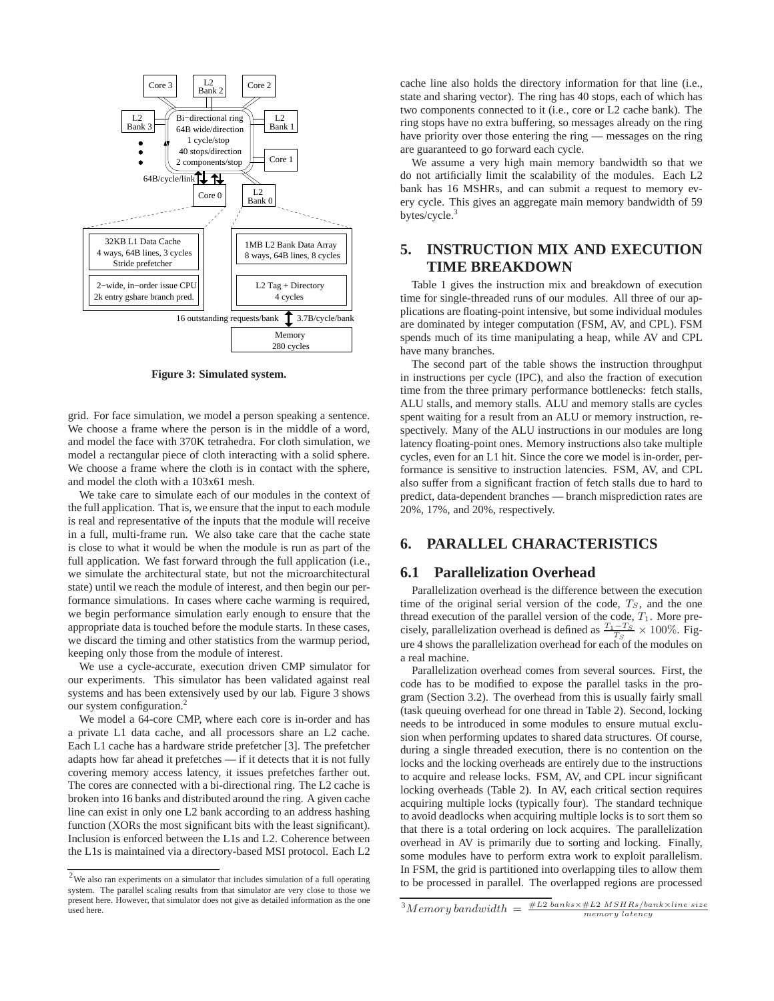

**Figure 3: Simulated system.**

grid. For face simulation, we model a person speaking a sentence. We choose a frame where the person is in the middle of a word, and model the face with 370K tetrahedra. For cloth simulation, we model a rectangular piece of cloth interacting with a solid sphere. We choose a frame where the cloth is in contact with the sphere, and model the cloth with a 103x61 mesh.

We take care to simulate each of our modules in the context of the full application. That is, we ensure that the input to each module is real and representative of the inputs that the module will receive in a full, multi-frame run. We also take care that the cache state is close to what it would be when the module is run as part of the full application. We fast forward through the full application (i.e., we simulate the architectural state, but not the microarchitectural state) until we reach the module of interest, and then begin our performance simulations. In cases where cache warming is required, we begin performance simulation early enough to ensure that the appropriate data is touched before the module starts. In these cases, we discard the timing and other statistics from the warmup period, keeping only those from the module of interest.

We use a cycle-accurate, execution driven CMP simulator for our experiments. This simulator has been validated against real systems and has been extensively used by our lab. Figure 3 shows our system configuration.<sup>2</sup>

We model a 64-core CMP, where each core is in-order and has a private L1 data cache, and all processors share an L2 cache. Each L1 cache has a hardware stride prefetcher [3]. The prefetcher adapts how far ahead it prefetches — if it detects that it is not fully covering memory access latency, it issues prefetches farther out. The cores are connected with a bi-directional ring. The L2 cache is broken into 16 banks and distributed around the ring. A given cache line can exist in only one L2 bank according to an address hashing function (XORs the most significant bits with the least significant). Inclusion is enforced between the L1s and L2. Coherence between the L1s is maintained via a directory-based MSI protocol. Each L2

cache line also holds the directory information for that line (i.e., state and sharing vector). The ring has 40 stops, each of which has two components connected to it (i.e., core or L2 cache bank). The ring stops have no extra buffering, so messages already on the ring have priority over those entering the ring — messages on the ring are guaranteed to go forward each cycle.

We assume a very high main memory bandwidth so that we do not artificially limit the scalability of the modules. Each L2 bank has 16 MSHRs, and can submit a request to memory every cycle. This gives an aggregate main memory bandwidth of 59 bytes/cycle.<sup>3</sup>

# **5. INSTRUCTION MIX AND EXECUTION TIME BREAKDOWN**

Table 1 gives the instruction mix and breakdown of execution time for single-threaded runs of our modules. All three of our applications are floating-point intensive, but some individual modules are dominated by integer computation (FSM, AV, and CPL). FSM spends much of its time manipulating a heap, while AV and CPL have many branches.

The second part of the table shows the instruction throughput in instructions per cycle (IPC), and also the fraction of execution time from the three primary performance bottlenecks: fetch stalls, ALU stalls, and memory stalls. ALU and memory stalls are cycles spent waiting for a result from an ALU or memory instruction, respectively. Many of the ALU instructions in our modules are long latency floating-point ones. Memory instructions also take multiple cycles, even for an L1 hit. Since the core we model is in-order, performance is sensitive to instruction latencies. FSM, AV, and CPL also suffer from a significant fraction of fetch stalls due to hard to predict, data-dependent branches — branch misprediction rates are 20%, 17%, and 20%, respectively.

## **6. PARALLEL CHARACTERISTICS**

## **6.1 Parallelization Overhead**

Parallelization overhead is the difference between the execution time of the original serial version of the code,  $T<sub>S</sub>$ , and the one thread execution of the parallel version of the code,  $T_1$ . More precisely, parallelization overhead is defined as  $\frac{T_1 - T_S}{T_S} \times 100\%$ . Figure 4 shows the parallelization overhead for each of the modules on a real machine.

Parallelization overhead comes from several sources. First, the code has to be modified to expose the parallel tasks in the program (Section 3.2). The overhead from this is usually fairly small (task queuing overhead for one thread in Table 2). Second, locking needs to be introduced in some modules to ensure mutual exclusion when performing updates to shared data structures. Of course, during a single threaded execution, there is no contention on the locks and the locking overheads are entirely due to the instructions to acquire and release locks. FSM, AV, and CPL incur significant locking overheads (Table 2). In AV, each critical section requires acquiring multiple locks (typically four). The standard technique to avoid deadlocks when acquiring multiple locks is to sort them so that there is a total ordering on lock acquires. The parallelization overhead in AV is primarily due to sorting and locking. Finally, some modules have to perform extra work to exploit parallelism. In FSM, the grid is partitioned into overlapping tiles to allow them to be processed in parallel. The overlapped regions are processed

<sup>&</sup>lt;sup>2</sup>We also ran experiments on a simulator that includes simulation of a full operating system. The parallel scaling results from that simulator are very close to those we present here. However, that simulator does not give as detailed information as the one used here.

 $\frac{3}{3}$ Memory bandwidth  $=\frac{\#L2 \text{ banks} \times \#L2 \text{ MSHRs/bank} \times \text{line size}}{ \text{memory latency}}$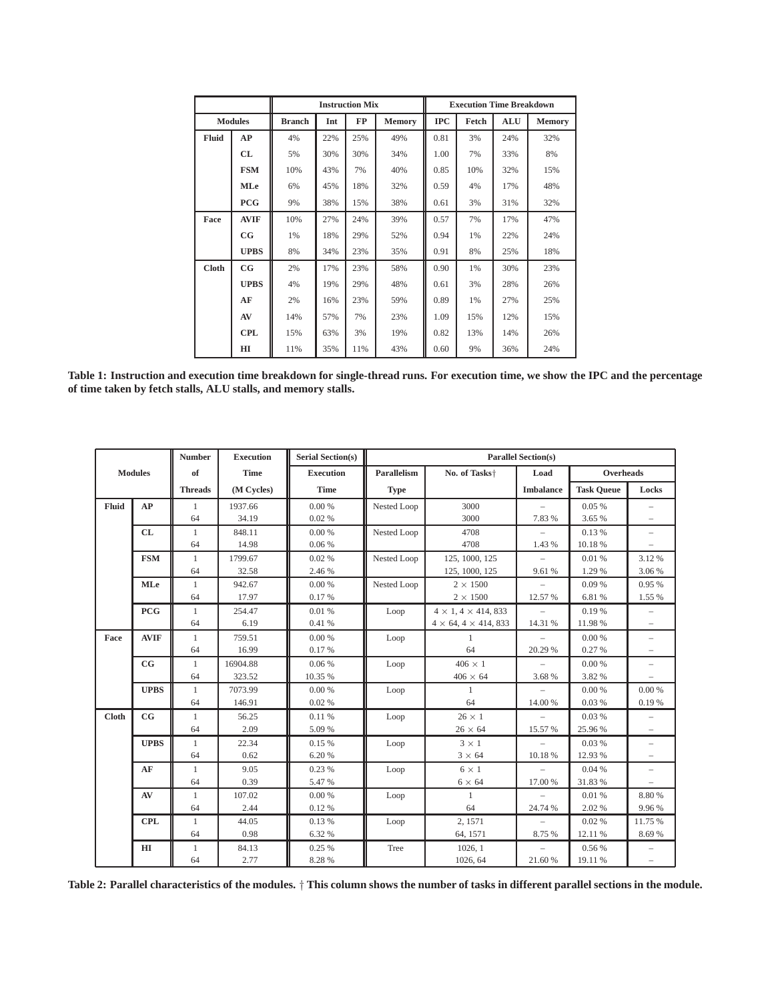|                | <b>Instruction Mix</b> |               |     |           | <b>Execution Time Breakdown</b> |            |       |            |               |
|----------------|------------------------|---------------|-----|-----------|---------------------------------|------------|-------|------------|---------------|
| <b>Modules</b> |                        | <b>Branch</b> | Int | <b>FP</b> | <b>Memory</b>                   | <b>IPC</b> | Fetch | <b>ALU</b> | <b>Memory</b> |
| Fluid          | AP                     | 4%            | 22% | 25%       | 49%                             | 0.81       | 3%    | 24%        | 32%           |
|                | CL                     | 5%            | 30% | 30%       | 34%                             | 1.00       | 7%    | 33%        | 8%            |
|                | <b>FSM</b>             | 10%           | 43% | 7%        | 40%                             | 0.85       | 10%   | 32%        | 15%           |
|                | <b>MLe</b>             | 6%            | 45% | 18%       | 32%                             | 0.59       | 4%    | 17%        | 48%           |
|                | <b>PCG</b>             | 9%            | 38% | 15%       | 38%                             | 0.61       | 3%    | 31%        | 32%           |
| Face           | <b>AVIF</b>            | 10%           | 27% | 24%       | 39%                             | 0.57       | 7%    | 17%        | 47%           |
|                | $_{\rm CG}$            | 1%            | 18% | 29%       | 52%                             | 0.94       | 1%    | 22%        | 24%           |
|                | <b>UPBS</b>            | 8%            | 34% | 23%       | 35%                             | 0.91       | 8%    | 25%        | 18%           |
| <b>Cloth</b>   | $_{\rm CG}$            | 2%            | 17% | 23%       | 58%                             | 0.90       | 1%    | 30%        | 23%           |
|                | <b>UPBS</b>            | 4%            | 19% | 29%       | 48%                             | 0.61       | 3%    | 28%        | 26%           |
|                | AF                     | 2%            | 16% | 23%       | 59%                             | 0.89       | 1%    | 27%        | 25%           |
|                | AV                     | 14%           | 57% | 7%        | 23%                             | 1.09       | 15%   | 12%        | 15%           |
|                | <b>CPL</b>             | 15%           | 63% | 3%        | 19%                             | 0.82       | 13%   | 14%        | 26%           |
|                | $\mathbf{H}$           | 11%           | 35% | 11%       | 43%                             | 0.60       | 9%    | 36%        | 24%           |

**Table 1: Instruction and execution time breakdown for single-thread runs. For execution time, we show the IPC and the percentage of time taken by fetch stalls, ALU stalls, and memory stalls.**

|                |             | <b>Number</b><br><b>Execution</b> |             | <b>Serial Section(s)</b> | <b>Parallel Section(s)</b> |                                      |                  |                   |                   |  |
|----------------|-------------|-----------------------------------|-------------|--------------------------|----------------------------|--------------------------------------|------------------|-------------------|-------------------|--|
| <b>Modules</b> |             | of                                | <b>Time</b> | <b>Execution</b>         | <b>Parallelism</b>         | No. of Tasks <sup>+</sup>            | Load             | <b>Overheads</b>  |                   |  |
|                |             | <b>Threads</b>                    | (M Cycles)  | <b>Time</b>              | <b>Type</b>                |                                      | <b>Imbalance</b> | <b>Task Queue</b> | Locks             |  |
| Fluid          | AP          | 1                                 | 1937.66     | 0.00%                    | Nested Loop                | 3000                                 |                  | 0.05%             |                   |  |
|                |             | 64                                | 34.19       | 0.02%                    |                            | 3000                                 | 7.83 %           | 3.65 %            |                   |  |
|                | CL          | 1                                 | 848.11      | 0.00%                    | Nested Loop                | 4708                                 |                  | 0.13%             |                   |  |
|                |             | 64                                | 14.98       | 0.06%                    |                            | 4708                                 | 1.43 %           | 10.18%            |                   |  |
|                | <b>FSM</b>  | $\mathbf{1}$                      | 1799.67     | 0.02%                    | Nested Loop                | 125, 1000, 125                       |                  | 0.01%             | 3.12 %            |  |
|                |             | 64                                | 32.58       | 2.46 %                   |                            | 125, 1000, 125                       | 9.61 %           | 1.29 %            | 3.06%             |  |
|                | <b>MLe</b>  | $\mathbf{1}$                      | 942.67      | 0.00%                    | Nested Loop                | $2 \times 1500$                      | $\equiv$         | 0.09%             | 0.95 %            |  |
|                |             | 64                                | 17.97       | 0.17%                    |                            | $2\times1500$                        | 12.57 %          | 6.81 %            | 1.55 %            |  |
|                | <b>PCG</b>  | 1                                 | 254.47      | 0.01%                    | Loop                       | $4 \times 1, 4 \times 414, 833$      |                  | 0.19%             |                   |  |
|                |             | 64                                | 6.19        | 0.41%                    |                            | $4 \times 64$ , $4 \times 414$ , 833 | 14.31 %          | 11.98%            | $\qquad \qquad -$ |  |
| Face           | <b>AVIF</b> | $\mathbf{1}$                      | 759.51      | 0.00%                    | Loop                       | 1                                    |                  | 0.00%             |                   |  |
|                |             | 64                                | 16.99       | 0.17%                    |                            | 64                                   | 20.29 %          | 0.27%             |                   |  |
|                | CG          | $\mathbf{1}$                      | 16904.88    | 0.06%                    | Loop                       | $406 \times 1$                       |                  | 0.00%             |                   |  |
|                |             | 64                                | 323.52      | 10.35 %                  |                            | $406 \times 64$                      | 3.68%            | 3.82 %            |                   |  |
|                | <b>UPBS</b> | $\mathbf{1}$                      | 7073.99     | 0.00%                    | Loop                       | 1                                    |                  | 0.00%             | 0.00%             |  |
|                |             | 64                                | 146.91      | 0.02%                    |                            | 64                                   | 14.00 %          | 0.03%             | 0.19%             |  |
| <b>Cloth</b>   | $_{\rm CG}$ | $\mathbf{1}$                      | 56.25       | 0.11%                    | Loop                       | $26 \times 1$                        |                  | 0.03%             |                   |  |
|                |             | 64                                | 2.09        | 5.09 %                   |                            | $26 \times 64$                       | 15.57 %          | 25.96%            |                   |  |
|                | <b>UPBS</b> | $\mathbf{1}$                      | 22.34       | 0.15 %                   | Loop                       | $3 \times 1$                         |                  | 0.03%             |                   |  |
|                |             | 64                                | 0.62        | 6.20 %                   |                            | $3 \times 64$                        | 10.18%           | 12.93 %           |                   |  |
|                | AF          | $\mathbf{1}$                      | 9.05        | 0.23%                    | Loop                       | $6 \times 1$                         |                  | 0.04%             |                   |  |
|                |             | 64                                | 0.39        | 5.47 %                   |                            | $6 \times 64$                        | 17.00 %          | 31.83 %           |                   |  |
|                | AV          | 1                                 | 107.02      | 0.00%                    | Loop                       | 1                                    |                  | 0.01%             | 8.80%             |  |
|                |             | 64                                | 2.44        | 0.12%                    |                            | 64                                   | 24.74 %          | 2.02%             | 9.96%             |  |
|                | CPL         | 1                                 | 44.05       | 0.13%                    | Loop                       | 2, 1571                              |                  | 0.02%             | 11.75 %           |  |
|                |             | 64                                | 0.98        | 6.32 %                   |                            | 64, 1571                             | 8.75 %           | 12.11 %           | 8.69%             |  |
|                | H I         | $\mathbf{1}$                      | 84.13       | 0.25 %                   | Tree                       | 1026, 1                              |                  | 0.56%             |                   |  |
|                |             | 64                                | 2.77        | 8.28 %                   |                            | 1026, 64                             | 21.60 %          | 19.11 %           |                   |  |

**Table 2: Parallel characteristics of the modules.** † **This column shows the number of tasks in different parallel sections in the module.**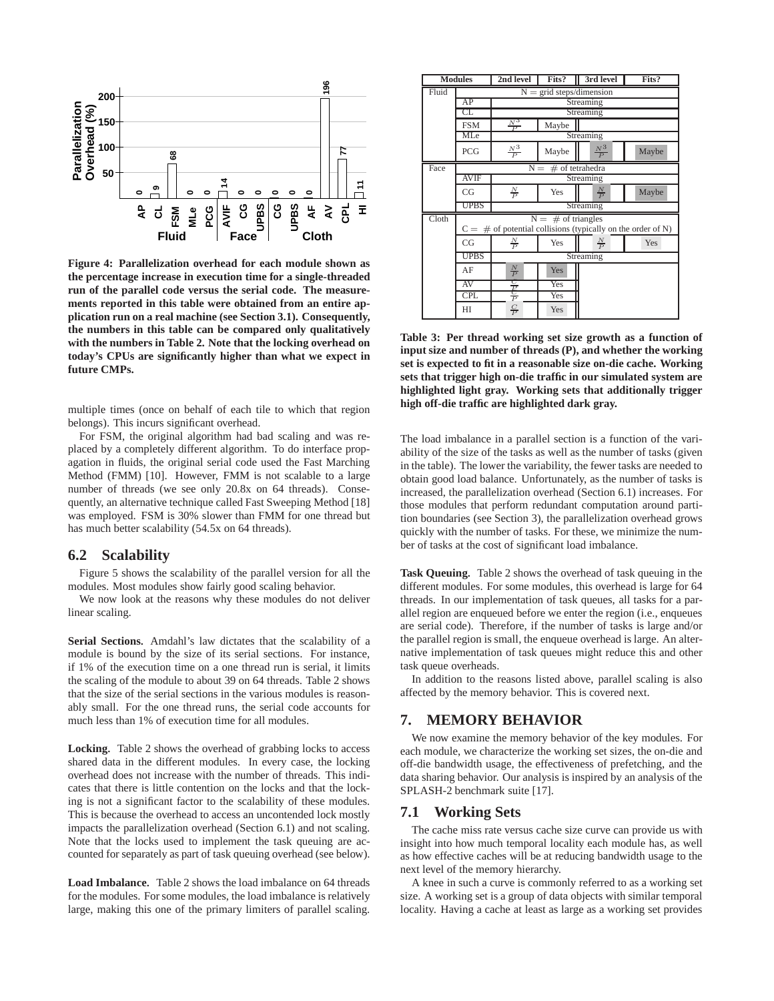

**Figure 4: Parallelization overhead for each module shown as the percentage increase in execution time for a single-threaded run of the parallel code versus the serial code. The measurements reported in this table were obtained from an entire application run on a real machine (see Section 3.1). Consequently, the numbers in this table can be compared only qualitatively with the numbers in Table 2. Note that the locking overhead on today's CPUs are significantly higher than what we expect in future CMPs.**

multiple times (once on behalf of each tile to which that region belongs). This incurs significant overhead.

For FSM, the original algorithm had bad scaling and was replaced by a completely different algorithm. To do interface propagation in fluids, the original serial code used the Fast Marching Method (FMM) [10]. However, FMM is not scalable to a large number of threads (we see only 20.8x on 64 threads). Consequently, an alternative technique called Fast Sweeping Method [18] was employed. FSM is 30% slower than FMM for one thread but has much better scalability (54.5x on 64 threads).

#### **6.2 Scalability**

Figure 5 shows the scalability of the parallel version for all the modules. Most modules show fairly good scaling behavior.

We now look at the reasons why these modules do not deliver linear scaling.

**Serial Sections***.* Amdahl's law dictates that the scalability of a module is bound by the size of its serial sections. For instance, if 1% of the execution time on a one thread run is serial, it limits the scaling of the module to about 39 on 64 threads. Table 2 shows that the size of the serial sections in the various modules is reasonably small. For the one thread runs, the serial code accounts for much less than 1% of execution time for all modules.

**Locking***.* Table 2 shows the overhead of grabbing locks to access shared data in the different modules. In every case, the locking overhead does not increase with the number of threads. This indicates that there is little contention on the locks and that the locking is not a significant factor to the scalability of these modules. This is because the overhead to access an uncontended lock mostly impacts the parallelization overhead (Section 6.1) and not scaling. Note that the locks used to implement the task queuing are accounted for separately as part of task queuing overhead (see below).

**Load Imbalance***.* Table 2 shows the load imbalance on 64 threads for the modules. For some modules, the load imbalance is relatively large, making this one of the primary limiters of parallel scaling.



**Table 3: Per thread working set size growth as a function of input size and number of threads (P), and whether the working set is expected to fit in a reasonable size on-die cache. Working sets that trigger high on-die traffic in our simulated system are highlighted light gray. Working sets that additionally trigger high off-die traffic are highlighted dark gray.**

The load imbalance in a parallel section is a function of the variability of the size of the tasks as well as the number of tasks (given in the table). The lower the variability, the fewer tasks are needed to obtain good load balance. Unfortunately, as the number of tasks is increased, the parallelization overhead (Section 6.1) increases. For those modules that perform redundant computation around partition boundaries (see Section 3), the parallelization overhead grows quickly with the number of tasks. For these, we minimize the number of tasks at the cost of significant load imbalance.

**Task Queuing***.* Table 2 shows the overhead of task queuing in the different modules. For some modules, this overhead is large for 64 threads. In our implementation of task queues, all tasks for a parallel region are enqueued before we enter the region (i.e., enqueues are serial code). Therefore, if the number of tasks is large and/or the parallel region is small, the enqueue overhead is large. An alternative implementation of task queues might reduce this and other task queue overheads.

In addition to the reasons listed above, parallel scaling is also affected by the memory behavior. This is covered next.

#### **7. MEMORY BEHAVIOR**

We now examine the memory behavior of the key modules. For each module, we characterize the working set sizes, the on-die and off-die bandwidth usage, the effectiveness of prefetching, and the data sharing behavior. Our analysis is inspired by an analysis of the SPLASH-2 benchmark suite [17].

## **7.1 Working Sets**

The cache miss rate versus cache size curve can provide us with insight into how much temporal locality each module has, as well as how effective caches will be at reducing bandwidth usage to the next level of the memory hierarchy.

A knee in such a curve is commonly referred to as a working set size. A working set is a group of data objects with similar temporal locality. Having a cache at least as large as a working set provides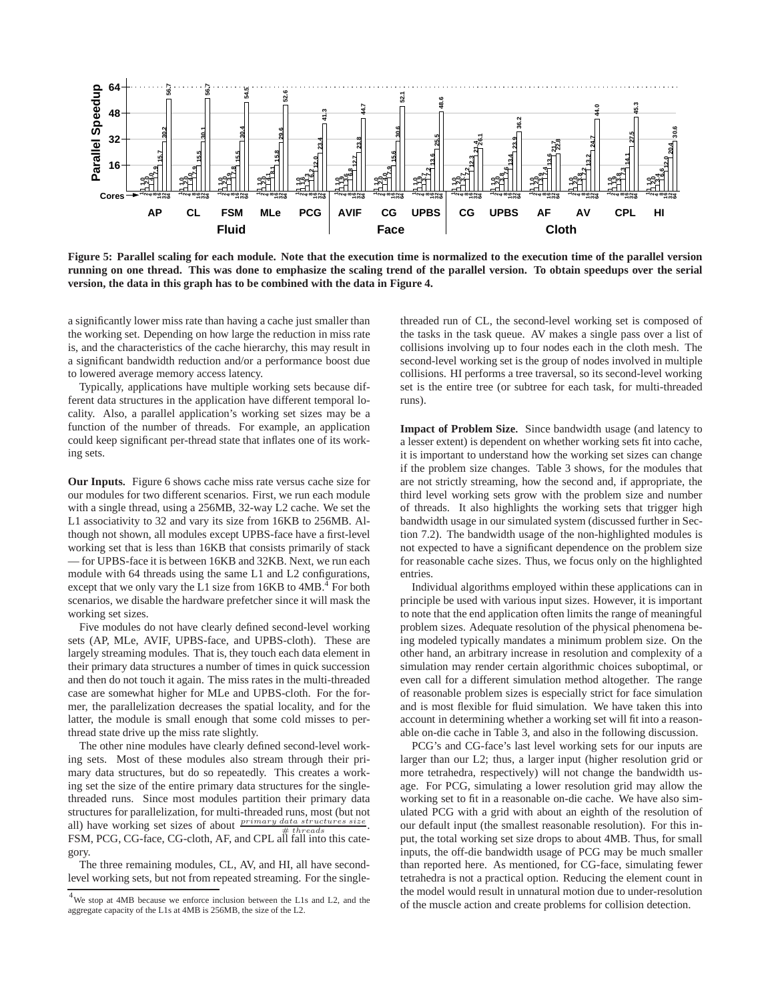

**Figure 5: Parallel scaling for each module. Note that the execution time is normalized to the execution time of the parallel version running on one thread. This was done to emphasize the scaling trend of the parallel version. To obtain speedups over the serial version, the data in this graph has to be combined with the data in Figure 4.**

a significantly lower miss rate than having a cache just smaller than the working set. Depending on how large the reduction in miss rate is, and the characteristics of the cache hierarchy, this may result in a significant bandwidth reduction and/or a performance boost due to lowered average memory access latency.

Typically, applications have multiple working sets because different data structures in the application have different temporal locality. Also, a parallel application's working set sizes may be a function of the number of threads. For example, an application could keep significant per-thread state that inflates one of its working sets.

**Our Inputs***.* Figure 6 shows cache miss rate versus cache size for our modules for two different scenarios. First, we run each module with a single thread, using a 256MB, 32-way L2 cache. We set the L1 associativity to 32 and vary its size from 16KB to 256MB. Although not shown, all modules except UPBS-face have a first-level working set that is less than 16KB that consists primarily of stack — for UPBS-face it is between 16KB and 32KB. Next, we run each module with 64 threads using the same L1 and L2 configurations, except that we only vary the L1 size from  $16KB$  to  $4MB<sup>4</sup>$  For both scenarios, we disable the hardware prefetcher since it will mask the working set sizes.

Five modules do not have clearly defined second-level working sets (AP, MLe, AVIF, UPBS-face, and UPBS-cloth). These are largely streaming modules. That is, they touch each data element in their primary data structures a number of times in quick succession and then do not touch it again. The miss rates in the multi-threaded case are somewhat higher for MLe and UPBS-cloth. For the former, the parallelization decreases the spatial locality, and for the latter, the module is small enough that some cold misses to perthread state drive up the miss rate slightly.

The other nine modules have clearly defined second-level working sets. Most of these modules also stream through their primary data structures, but do so repeatedly. This creates a working set the size of the entire primary data structures for the singlethreaded runs. Since most modules partition their primary data structures for parallelization, for multi-threaded runs, most (but not all) have working set sizes of about  $\frac{primary\ data\ structures\ size}{\# \ threads}$ . FSM, PCG, CG-face, CG-cloth, AF, and CPL all fall into this category.

The three remaining modules, CL, AV, and HI, all have secondlevel working sets, but not from repeated streaming. For the singlethreaded run of CL, the second-level working set is composed of the tasks in the task queue. AV makes a single pass over a list of collisions involving up to four nodes each in the cloth mesh. The second-level working set is the group of nodes involved in multiple collisions. HI performs a tree traversal, so its second-level working set is the entire tree (or subtree for each task, for multi-threaded runs).

**Impact of Problem Size***.* Since bandwidth usage (and latency to a lesser extent) is dependent on whether working sets fit into cache, it is important to understand how the working set sizes can change if the problem size changes. Table 3 shows, for the modules that are not strictly streaming, how the second and, if appropriate, the third level working sets grow with the problem size and number of threads. It also highlights the working sets that trigger high bandwidth usage in our simulated system (discussed further in Section 7.2). The bandwidth usage of the non-highlighted modules is not expected to have a significant dependence on the problem size for reasonable cache sizes. Thus, we focus only on the highlighted entries.

Individual algorithms employed within these applications can in principle be used with various input sizes. However, it is important to note that the end application often limits the range of meaningful problem sizes. Adequate resolution of the physical phenomena being modeled typically mandates a minimum problem size. On the other hand, an arbitrary increase in resolution and complexity of a simulation may render certain algorithmic choices suboptimal, or even call for a different simulation method altogether. The range of reasonable problem sizes is especially strict for face simulation and is most flexible for fluid simulation. We have taken this into account in determining whether a working set will fit into a reasonable on-die cache in Table 3, and also in the following discussion.

PCG's and CG-face's last level working sets for our inputs are larger than our L2; thus, a larger input (higher resolution grid or more tetrahedra, respectively) will not change the bandwidth usage. For PCG, simulating a lower resolution grid may allow the working set to fit in a reasonable on-die cache. We have also simulated PCG with a grid with about an eighth of the resolution of our default input (the smallest reasonable resolution). For this input, the total working set size drops to about 4MB. Thus, for small inputs, the off-die bandwidth usage of PCG may be much smaller than reported here. As mentioned, for CG-face, simulating fewer tetrahedra is not a practical option. Reducing the element count in the model would result in unnatural motion due to under-resolution of the muscle action and create problems for collision detection.

<sup>&</sup>lt;sup>4</sup>We stop at 4MB because we enforce inclusion between the L1s and L2, and the aggregate capacity of the L1s at 4MB is 256MB, the size of the L2.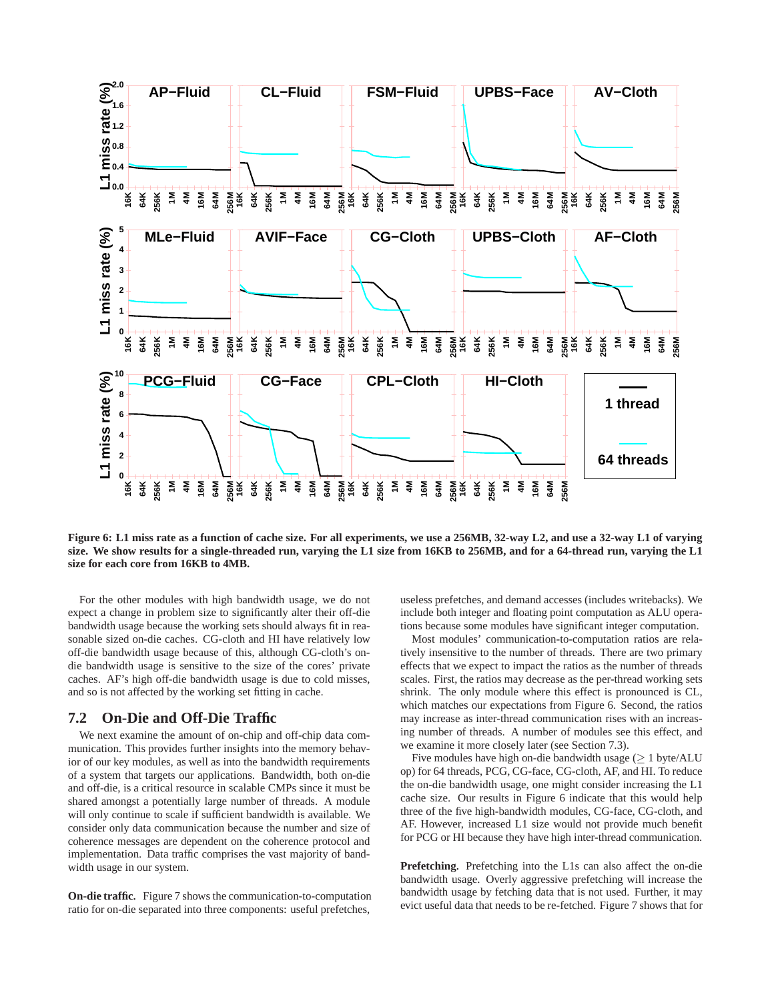

**Figure 6: L1 miss rate as a function of cache size. For all experiments, we use a 256MB, 32-way L2, and use a 32-way L1 of varying size. We show results for a single-threaded run, varying the L1 size from 16KB to 256MB, and for a 64-thread run, varying the L1 size for each core from 16KB to 4MB.**

For the other modules with high bandwidth usage, we do not expect a change in problem size to significantly alter their off-die bandwidth usage because the working sets should always fit in reasonable sized on-die caches. CG-cloth and HI have relatively low off-die bandwidth usage because of this, although CG-cloth's ondie bandwidth usage is sensitive to the size of the cores' private caches. AF's high off-die bandwidth usage is due to cold misses, and so is not affected by the working set fitting in cache.

## **7.2 On-Die and Off-Die Traffic**

We next examine the amount of on-chip and off-chip data communication. This provides further insights into the memory behavior of our key modules, as well as into the bandwidth requirements of a system that targets our applications. Bandwidth, both on-die and off-die, is a critical resource in scalable CMPs since it must be shared amongst a potentially large number of threads. A module will only continue to scale if sufficient bandwidth is available. We consider only data communication because the number and size of coherence messages are dependent on the coherence protocol and implementation. Data traffic comprises the vast majority of bandwidth usage in our system.

**On-die traffic***.* Figure 7 shows the communication-to-computation ratio for on-die separated into three components: useful prefetches,

useless prefetches, and demand accesses (includes writebacks). We include both integer and floating point computation as ALU operations because some modules have significant integer computation.

Most modules' communication-to-computation ratios are relatively insensitive to the number of threads. There are two primary effects that we expect to impact the ratios as the number of threads scales. First, the ratios may decrease as the per-thread working sets shrink. The only module where this effect is pronounced is CL, which matches our expectations from Figure 6. Second, the ratios may increase as inter-thread communication rises with an increasing number of threads. A number of modules see this effect, and we examine it more closely later (see Section 7.3).

Five modules have high on-die bandwidth usage ( $\geq 1$  byte/ALU op) for 64 threads, PCG, CG-face, CG-cloth, AF, and HI. To reduce the on-die bandwidth usage, one might consider increasing the L1 cache size. Our results in Figure 6 indicate that this would help three of the five high-bandwidth modules, CG-face, CG-cloth, and AF. However, increased L1 size would not provide much benefit for PCG or HI because they have high inter-thread communication.

**Prefetching***.* Prefetching into the L1s can also affect the on-die bandwidth usage. Overly aggressive prefetching will increase the bandwidth usage by fetching data that is not used. Further, it may evict useful data that needs to be re-fetched. Figure 7 shows that for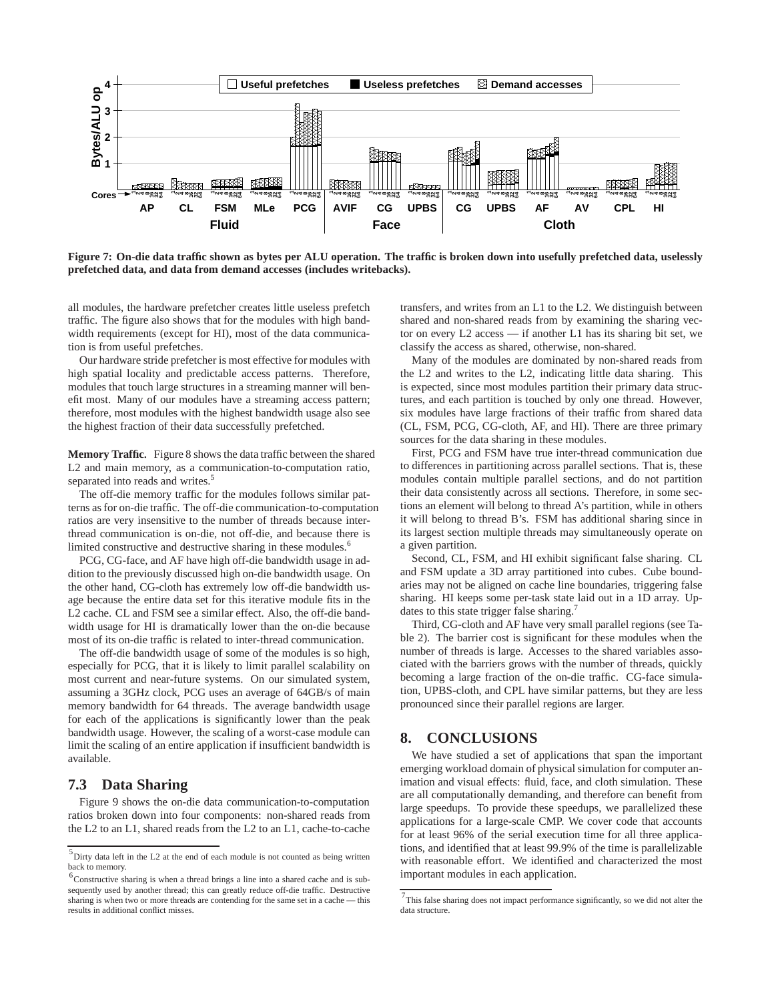

**Figure 7: On-die data traffic shown as bytes per ALU operation. The traffic is broken down into usefully prefetched data, uselessly prefetched data, and data from demand accesses (includes writebacks).**

all modules, the hardware prefetcher creates little useless prefetch traffic. The figure also shows that for the modules with high bandwidth requirements (except for HI), most of the data communication is from useful prefetches.

Our hardware stride prefetcher is most effective for modules with high spatial locality and predictable access patterns. Therefore, modules that touch large structures in a streaming manner will benefit most. Many of our modules have a streaming access pattern; therefore, most modules with the highest bandwidth usage also see the highest fraction of their data successfully prefetched.

**Memory Traffic***.* Figure 8 shows the data traffic between the shared L2 and main memory, as a communication-to-computation ratio, separated into reads and writes.<sup>5</sup>

The off-die memory traffic for the modules follows similar patterns as for on-die traffic. The off-die communication-to-computation ratios are very insensitive to the number of threads because interthread communication is on-die, not off-die, and because there is limited constructive and destructive sharing in these modules.<sup>6</sup>

PCG, CG-face, and AF have high off-die bandwidth usage in addition to the previously discussed high on-die bandwidth usage. On the other hand, CG-cloth has extremely low off-die bandwidth usage because the entire data set for this iterative module fits in the L2 cache. CL and FSM see a similar effect. Also, the off-die bandwidth usage for HI is dramatically lower than the on-die because most of its on-die traffic is related to inter-thread communication.

The off-die bandwidth usage of some of the modules is so high, especially for PCG, that it is likely to limit parallel scalability on most current and near-future systems. On our simulated system, assuming a 3GHz clock, PCG uses an average of 64GB/s of main memory bandwidth for 64 threads. The average bandwidth usage for each of the applications is significantly lower than the peak bandwidth usage. However, the scaling of a worst-case module can limit the scaling of an entire application if insufficient bandwidth is available.

# **7.3 Data Sharing**

Figure 9 shows the on-die data communication-to-computation ratios broken down into four components: non-shared reads from the L2 to an L1, shared reads from the L2 to an L1, cache-to-cache

transfers, and writes from an L1 to the L2. We distinguish between shared and non-shared reads from by examining the sharing vector on every L2 access — if another L1 has its sharing bit set, we classify the access as shared, otherwise, non-shared.

Many of the modules are dominated by non-shared reads from the L2 and writes to the L2, indicating little data sharing. This is expected, since most modules partition their primary data structures, and each partition is touched by only one thread. However, six modules have large fractions of their traffic from shared data (CL, FSM, PCG, CG-cloth, AF, and HI). There are three primary sources for the data sharing in these modules.

First, PCG and FSM have true inter-thread communication due to differences in partitioning across parallel sections. That is, these modules contain multiple parallel sections, and do not partition their data consistently across all sections. Therefore, in some sections an element will belong to thread A's partition, while in others it will belong to thread B's. FSM has additional sharing since in its largest section multiple threads may simultaneously operate on a given partition.

Second, CL, FSM, and HI exhibit significant false sharing. CL and FSM update a 3D array partitioned into cubes. Cube boundaries may not be aligned on cache line boundaries, triggering false sharing. HI keeps some per-task state laid out in a 1D array. Updates to this state trigger false sharing.<sup>7</sup>

Third, CG-cloth and AF have very small parallel regions (see Table 2). The barrier cost is significant for these modules when the number of threads is large. Accesses to the shared variables associated with the barriers grows with the number of threads, quickly becoming a large fraction of the on-die traffic. CG-face simulation, UPBS-cloth, and CPL have similar patterns, but they are less pronounced since their parallel regions are larger.

# **8. CONCLUSIONS**

We have studied a set of applications that span the important emerging workload domain of physical simulation for computer animation and visual effects: fluid, face, and cloth simulation. These are all computationally demanding, and therefore can benefit from large speedups. To provide these speedups, we parallelized these applications for a large-scale CMP. We cover code that accounts for at least 96% of the serial execution time for all three applications, and identified that at least 99.9% of the time is parallelizable with reasonable effort. We identified and characterized the most important modules in each application.

 $5$  Dirty data left in the L2 at the end of each module is not counted as being written back to memory.

<sup>6</sup> Constructive sharing is when a thread brings a line into a shared cache and is subsequently used by another thread; this can greatly reduce off-die traffic. Destructive sharing is when two or more threads are contending for the same set in a cacheresults in additional conflict misses.

 $7$ This false sharing does not impact performance significantly, so we did not alter the data structure.